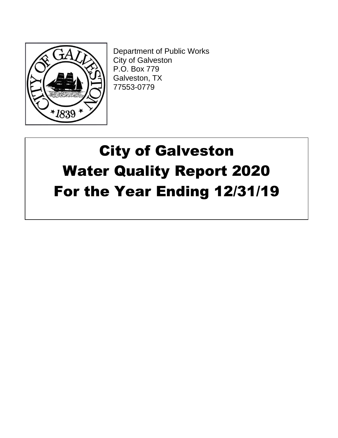

Department of Public Works City of Galveston P.O. Box 779 Galveston, TX 77553-0779

# City of Galveston Water Quality Report 2020 For the Year Ending 12/31/19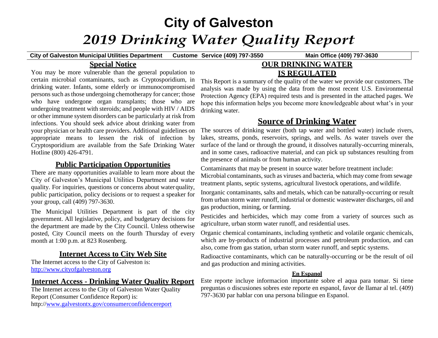## **City of Galveston** *2019 Drinking Water Quality Report*

**City of Galveston Municipal Utilities Department Customer**

**Service (409) 797-3550 Main Office (409) 797-3630**

## **Special Notice**

You may be more vulnerable than the general population to certain microbial contaminants, such as Cryptosporidium, in drinking water. Infants, some elderly or immunocompromised persons such as those undergoing chemotherapy for cancer; those who have undergone organ transplants; those who are undergoing treatment with steroids; and people with HIV / AIDS or other immune system disorders can be particularly at risk from infections. You should seek advice about drinking water from your physician or health care providers. Additional guidelines on appropriate means to lessen the risk of infection by Cryptosporidium are available from the Safe Drinking Water Hotline (800) 426-4791.

### **Public Participation Opportunities**

There are many opportunities available to learn more about the City of Galveston's Municipal Utilities Department and water quality. For inquiries, questions or concerns about waterquality, public participation, policy decisions or to request a speaker for your group, call (409) 797-3630.

The Municipal Utilities Department is part of the city government. All legislative, policy, and budgetary decisions for the department are made by the City Council. Unless otherwise posted, City Council meets on the fourth Thursday of every month at 1:00 p.m. at 823 Rosenberg.

## **Internet Access to City Web Site**

The Internet access to the City of Galveston is: [http://www.cityofgalveston.org](http://www.cityofgalveston.org/)

## **Internet Access - Drinking Water Quality Report**

The Internet access to the City of Galveston Water Quality Report (Consumer Confidence Report) is: http:/[/www.galvestontx.gov/consumerconfidencereport](http://www.galvestontx.gov/consumerconfidencereport)

## **OUR DRINKING WATER IS REGULATED**

This Report is a summary of the quality of the water we provide our customers. The analysis was made by using the data from the most recent U.S. Environmental Protection Agency (EPA) required tests and is presented in the attached pages. We hope this information helps you become more knowledgeable about what's in your drinking water.

## **Source of Drinking Water**

The sources of drinking water (both tap water and bottled water) include rivers, lakes, streams, ponds, reservoirs, springs, and wells. As water travels over the surface of the land or through the ground, it dissolves naturally-occurring minerals, and in some cases, radioactive material, and can pick up substances resulting from the presence of animals or from human activity.

Contaminants that may be present in source water before treatment include: Microbial contaminants, such as viruses and bacteria, which may come from sewage treatment plants, septic systems, agricultural livestock operations, and wildlife.

Inorganic contaminants, salts and metals, which can be naturally-occurring or result from urban storm water runoff, industrial or domestic wastewater discharges, oil and gas production, mining, or farming.

Pesticides and herbicides, which may come from a variety of sources such as agriculture, urban storm water runoff, and residential uses.

Organic chemical contaminants, including synthetic and volatile organic chemicals, which are by-products of industrial processes and petroleum production, and can also, come from gas station, urban storm water runoff, and septic systems.

Radioactive contaminants, which can be naturally-occurring or be the result of oil and gas production and mining activities.

#### **En Espanol**

Este reporte incluye informacion importante sobre el aqua para tomar. Si tiene preguntas o discusiones sobres este reporte en espanol, favor de llamar al tel. (409) 797-3630 par hablar con una persona bilingue en Espanol.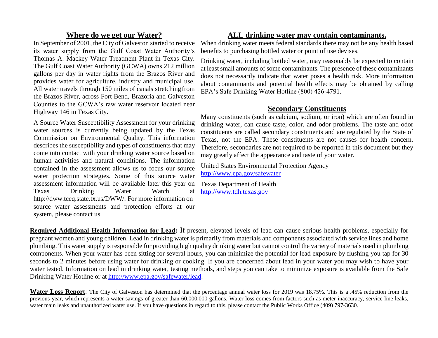## **Where do we get our Water?**

In September of 2001, the City of Galveston started to receive its water supply from the Gulf Coast Water Authority's Thomas A. Mackey Water Treatment Plant in Texas City. The Gulf Coast Water Authority (GCWA) owns 212 million gallons per day in water rights from the Brazos River and provides water for agriculture, industry and municipal use. All water travels through 150 miles of canals stretchingfrom the Brazos River, across Fort Bend, Brazoria and Galveston Counties to the GCWA's raw water reservoir located near Highway 146 in Texas City.

A Source Water Susceptibility Assessment for your drinking water sources is currently being updated by the Texas Commission on Environmental Quality. This information describes the susceptibility and types of constituents that may come into contact with your drinking water source based on human activities and natural conditions. The information contained in the assessment allows us to focus our source water protection strategies. Some of this source water assessment information will be available later this year on Texas Drinking Water Watch at [http://dww.tceq.state.tx.us/DWW/.](http://dww.tceq.state.tx.us/DWW/) For more information on source water assessments and protection efforts at our system, please contact us.

## **ALL drinking water may contain contaminants.**

When drinking water meets federal standards there may not be any health based benefits to purchasing bottled water or point of use devises.

Drinking water, including bottled water, may reasonably be expected to contain at least small amounts of some contaminants. The presence of these contaminants does not necessarily indicate that water poses a health risk. More information about contaminants and potential health effects may be obtained by calling EPA's Safe Drinking Water Hotline (800) 426-4791.

## **Secondary Constituents**

Many constituents (such as calcium, sodium, or iron) which are often found in drinking water, can cause taste, color, and odor problems. The taste and odor constituents are called secondary constituents and are regulated by the State of Texas, not the EPA. These constituents are not causes for health concern. Therefore, secondaries are not required to be reported in this document but they may greatly affect the appearance and taste of your water.

United States Environmental Protection Agency <http://www.epa.gov/safewater>

Texas Department of Health [http://www.tdh.texas.gov](http://www.tdh.texas.gov/)

**Required Additional Health Information for Lead:** If present, elevated levels of lead can cause serious health problems, especially for pregnant women and young children. Lead in drinking water is primarily from materials and components associated with service lines and home plumbing. This water supply is responsible for providing high quality drinking water but cannot control the variety of materials used in plumbing components. When your water has been sitting for several hours, you can minimize the potential for lead exposure by flushing you tap for 30 seconds to 2 minutes before using water for drinking or cooking. If you are concerned about lead in your water you may wish to have your water tested. Information on lead in drinking water, testing methods, and steps you can take to minimize exposure is available from the Safe Drinking Water Hotline or at [http://www.epa.gov/safewater/lead.](http://www.epa.gov/safewater/lead)

**Water Loss Report**: The City of Galveston has determined that the percentage annual water loss for 2019 was 18.75%. This is a .45% reduction from the previous year, which represents a water savings of greater than 60,000,000 gallons. Water loss comes from factors such as meter inaccuracy, service line leaks, water main leaks and unauthorized water use. If you have questions in regard to this, please contact the Public Works Office (409) 797-3630.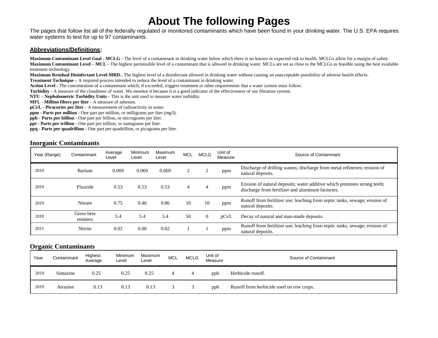## **About The following Pages**

The pages that follow list all of the federally regulated or monitored contaminants which have been found in your drinking water. The U.S. EPA requires water systems to test for up to 97 contaminants.

#### **Abbreviations/Definitions:**

**Maximum Contaminant Level Goal - MCLG -** The level of a contaminant in drinking water below which there is no known or expected risk to health. MCLGs allow for a margin of safety. **Maximum Contaminant Level – MCL -** The highest permissible level of a contaminant that is allowed in drinking water. MCLs are set as close to the MCLGs as feasible using the best available treatment technology.

**Maximum Residual Disinfectant Level-MRD-**. The highest level of a disinfectant allowed in drinking water without causing an unacceptable possibility of adverse health effects.

**Treatment Technique –** A required process intended to reduce the level of a contaminant in drinking water.

**Action Level -** The concentration of a contaminant which, if exceeded, triggers treatment or other requirements that a water system must follow.

**Turbidity -** A measure of the cloudiness of water. We monitor it because it is a good indicator of the effectiveness of our filtration system.

**NTU – Nepholometric Turbidity Units -** This is the unit used to measure water turbidity.

**MFL - Million fibers per liter -** A measure of asbestos.

**pCi/L** - **Picocuries per liter -** A measurement of radioactivity in water.

**ppm - Parts per million** - One part per million, or milligrams per liter (mg/l).

**ppb - Parts per billion** - One part per billion, or micrograms per liter.

**ppt - Parts per trillion** - One part per trillion, or nanograms per liter.

**ppq - Parts per quadrillion** - One part per quadrillion, or picograms per liter.

#### **Inorganic Contaminants**

| Year (Range) | Contaminant            | Average<br>Level | Minimum<br>Level | Maximum<br>Level | <b>MCL</b> | <b>MCLG</b> | Unit of<br>Measure | Source of Contaminant                                                                                                         |
|--------------|------------------------|------------------|------------------|------------------|------------|-------------|--------------------|-------------------------------------------------------------------------------------------------------------------------------|
| 2019         | Barium                 | 0.069            | 0.069            | 0.069            |            | ppm         |                    | Discharge of drilling wastes; discharge from metal refineries; erosion of<br>natural deposits.                                |
| 2019         | Fluoride               | 0.53             | 0.53             | 0.53             | 4          |             | ppm                | Erosion of natural deposits; water additive which promotes strong teeth;<br>discharge from fertilizer and aluminum factories. |
| 2019         | Nitrate                | 0.75             | 0.46             | 0.86             | 10         | 10          | ppm                | Runoff from fertilizer use; leaching from septic tanks, sewage; erosion of<br>natural deposits.                               |
| 2018         | Gross beta<br>emitters | 5.4              | 5.4              | 5.4              | 50         | 0           | pCi/L              | Decay of natural and man-made deposits.                                                                                       |
| 2015         | Nitrite                | 0.02             | 0.00             | 0.02             |            |             | ppm                | Runoff from fertilizer use; leaching from septic tanks, sewage; erosion of<br>natural deposits.                               |

#### **Organic Contaminants**

| Year | Contaminant | Highest<br>Average | Minimum<br>Level | Maximum<br>Level | <b>MCL</b> | <b>MCLG</b> | Unit of<br>Measure | Source of Contaminant                    |
|------|-------------|--------------------|------------------|------------------|------------|-------------|--------------------|------------------------------------------|
| 2019 | Simazine    | 0.25               | 0.25             | 0.25             |            |             | ppb                | Herbicide runoff.                        |
| 2019 | Atrazine    | 0.13               | 0.13             | 0.13             |            |             | ppb                | Runoff from herbicide used on row crops. |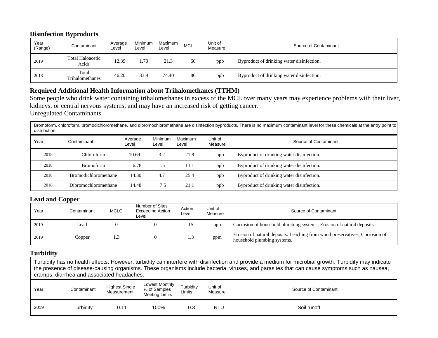#### **Disinfection Byproducts**

| Year<br>(Range) | Contaminant                      | Average<br>Level | Minimum<br>∟evel | Maximum<br>Level | <b>MCL</b> | Unit of<br>Measure | Source of Contaminant                     |
|-----------------|----------------------------------|------------------|------------------|------------------|------------|--------------------|-------------------------------------------|
| 2019            | <b>Total Haloacetic</b><br>Acids | 12.39            | 1.70             | 21.3             | 60         | ppb                | Byproduct of drinking water disinfection. |
| 2018            | Total<br>Trihalomethanes         | 46.20            | 33.9             | 74.40            | 80         | ppb                | Byproduct of drinking water disinfection. |

## **Required Additional Health Information about Trihalomethanes (TTHM)**

Some people who drink water containing trihalomethanes in excess of the MCL over many years may experience problems with their liver, kidneys, or central nervous systems, and may have an increased risk of getting cancer. Unregulated Contaminants

Bromoform, chloroform, bromodichloromethane, and dibromochloromethane are disinfection byproducts. There is no maximum contaminant level for these chemicals at the entry point to distribution.

| Year | Contaminant                 | Average<br>Level | Minimum<br>Level | Maximum<br>Level | Unit of<br>Measure | Source of Contaminant                     |
|------|-----------------------------|------------------|------------------|------------------|--------------------|-------------------------------------------|
| 2018 | Chloroform                  | 10.69            | 3.2              | 21.8             | ppb                | Byproduct of drinking water disinfection. |
| 2018 | <b>Bromoform</b>            | 6.78             | 1.5              | 13.1             | ppb                | Byproduct of drinking water disinfection. |
| 2018 | <b>Bromodichloromethane</b> | 14.30            | 4.7              | 25.4             | ppb                | Byproduct of drinking water disinfection. |
| 2018 | Dibromochloromethane        | 14.48            | 7.5              | 21.1             | ppb                | Byproduct of drinking water disinfection. |

#### **Lead and Copper**

| Year | Contaminant | <b>MCLG</b> | Number of Sites<br>Exceeding Action<br>Level | Action<br>Level | Unit of<br>Measure | Source of Contaminant                                                                                      |
|------|-------------|-------------|----------------------------------------------|-----------------|--------------------|------------------------------------------------------------------------------------------------------------|
| 2019 | Lead        |             |                                              |                 | ppb                | Corrosion of household plumbing systems; Erosion of natural deposits.                                      |
| 2019 | Copper      |             |                                              | د. 1            | ppm                | Erosion of natural deposits: Leaching from wood preservatives; Corrosion of<br>household plumbing systems. |

#### **Turbidity**

Turbidity has no health effects. However, turbidity can interfere with disinfection and provide a medium for microbial growth. Turbidity may indicate the presence of disease-causing organisms. These organisms include bacteria, viruses, and parasites that can cause symptoms such as nausea, cramps, diarrhea and associated headaches.

| Year | Contaminant | <b>Highest Single</b><br>Measurement | Lowest Monthly<br>% of Samples<br><b>Meeting Limits</b> | Turbidity<br>Limits | Unit of<br>Measure | Source of Contaminant |
|------|-------------|--------------------------------------|---------------------------------------------------------|---------------------|--------------------|-----------------------|
| 2019 | Turbidity   | 0.11                                 | 100%                                                    | 0.3                 | <b>NTU</b>         | Soil runoff.          |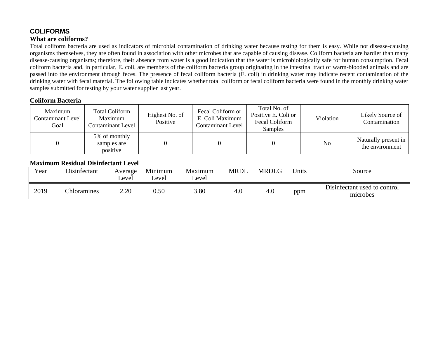### **COLIFORMS What are coliforms?**

Total coliform bacteria are used as indicators of microbial contamination of drinking water because testing for them is easy. While not disease-causing organisms themselves, they are often found in association with other microbes that are capable of causing disease. Coliform bacteria are hardier than many disease-causing organisms; therefore, their absence from water is a good indication that the water is microbiologically safe for human consumption. Fecal coliform bacteria and, in particular, E. coli, are members of the coliform bacteria group originating in the intestinal tract of warm-blooded animals and are passed into the environment through feces. The presence of fecal coliform bacteria (E. coli) in drinking water may indicate recent contamination of the drinking water with fecal material. The following table indicates whether total coliform or fecal coliform bacteria were found in the monthly drinking water samples submitted for testing by your water supplier last year.

#### **Coliform Bacteria**

| Maximum<br>Contaminant Level<br>Goal | Total Coliform<br>Maximum<br>Contaminant Level | Highest No. of<br>Positive | Fecal Coliform or<br>E. Coli Maximum<br><b>Contaminant Level</b> | Total No. of<br>Positive E. Coli or<br>Fecal Coliform<br>Samples | Violation | Likely Source of<br>Contamination       |
|--------------------------------------|------------------------------------------------|----------------------------|------------------------------------------------------------------|------------------------------------------------------------------|-----------|-----------------------------------------|
|                                      | 5% of monthly<br>samples are<br>positive       |                            |                                                                  |                                                                  | No        | Naturally present in<br>the environment |

#### **Maximum Residual Disinfectant Level**

| Year | Disinfectant | Average<br>_evel | Minimum<br>Level | Maximum<br>∟evel | MRDL | <b>MRDLG</b> | Units | Source                                   |
|------|--------------|------------------|------------------|------------------|------|--------------|-------|------------------------------------------|
| 2019 | Chloramines  | 2.20             | $0.50\,$         | 3.80             |      | 4.0          | ppm   | Disinfectant used to control<br>microbes |